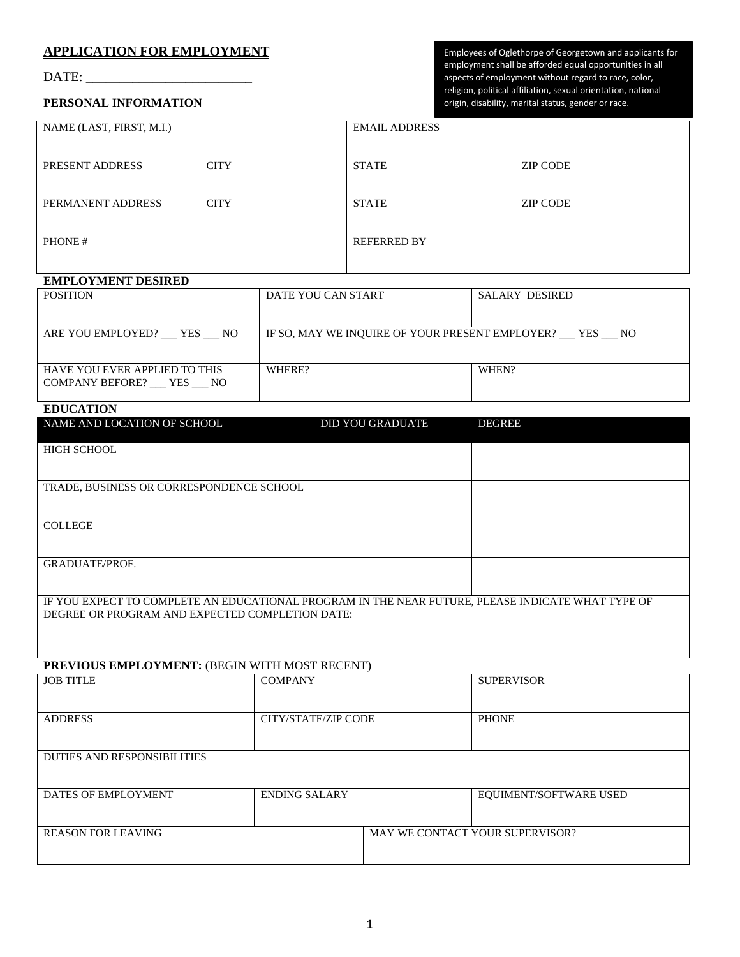## **APPLICATION FOR EMPLOYMENT**

DATE: \_\_\_\_\_\_\_\_\_\_\_\_\_\_\_\_\_\_\_\_\_\_\_\_\_

Employees of Oglethorpe of Georgetown and applicants for employment shall be afforded equal opportunities in all aspects of employment without regard to race, color, religion, political affiliation, sexual orientation, national origin, disability, marital status, gender or race.

## **PERSONAL INFORMATION**

| NAME (LAST, FIRST, M.I.) |             | <b>EMAIL ADDRESS</b> |                 |
|--------------------------|-------------|----------------------|-----------------|
| PRESENT ADDRESS          | <b>CITY</b> | <b>STATE</b>         | <b>ZIP CODE</b> |
|                          |             |                      |                 |
| PERMANENT ADDRESS        | <b>CITY</b> | <b>STATE</b>         | <b>ZIP CODE</b> |
|                          |             |                      |                 |
| PHONE#                   |             | <b>REFERRED BY</b>   |                 |
|                          |             |                      |                 |

# **EMPLOYMENT DESIRED**

| <b>POSITION</b>                                         | DATE YOU CAN START                                     | <b>SALARY DESIRED</b> |
|---------------------------------------------------------|--------------------------------------------------------|-----------------------|
|                                                         |                                                        |                       |
| ARE YOU EMPLOYED? YES NO                                | IF SO, MAY WE INQUIRE OF YOUR PRESENT EMPLOYER? YES NO |                       |
| HAVE YOU EVER APPLIED TO THIS<br>COMPANY BEFORE? YES NO | WHERE?                                                 | WHEN?                 |

### **EDUCATION**

| NAME AND LOCATION OF SCHOOL                                                                                                                          | <b>DID YOU GRADUATE</b> | <b>DEGREE</b> |
|------------------------------------------------------------------------------------------------------------------------------------------------------|-------------------------|---------------|
| <b>HIGH SCHOOL</b>                                                                                                                                   |                         |               |
|                                                                                                                                                      |                         |               |
| TRADE, BUSINESS OR CORRESPONDENCE SCHOOL                                                                                                             |                         |               |
|                                                                                                                                                      |                         |               |
| <b>COLLEGE</b>                                                                                                                                       |                         |               |
|                                                                                                                                                      |                         |               |
| <b>GRADUATE/PROF.</b>                                                                                                                                |                         |               |
|                                                                                                                                                      |                         |               |
| IF YOU EXPECT TO COMPLETE AN EDUCATIONAL PROGRAM IN THE NEAR FUTURE, PLEASE INDICATE WHAT TYPE OF<br>DEGREE OR PROGRAM AND EXPECTED COMPLETION DATE: |                         |               |
|                                                                                                                                                      |                         |               |

### **PREVIOUS EMPLOYMENT:** (BEGIN WITH MOST RECENT)

| <b>JOB TITLE</b>                   | <b>COMPANY</b>       |                                 | <b>SUPERVISOR</b>      |
|------------------------------------|----------------------|---------------------------------|------------------------|
|                                    |                      |                                 |                        |
|                                    |                      |                                 |                        |
| <b>ADDRESS</b>                     | CITY/STATE/ZIP CODE  |                                 | <b>PHONE</b>           |
|                                    |                      |                                 |                        |
|                                    |                      |                                 |                        |
| <b>DUTIES AND RESPONSIBILITIES</b> |                      |                                 |                        |
|                                    |                      |                                 |                        |
|                                    |                      |                                 |                        |
| DATES OF EMPLOYMENT                | <b>ENDING SALARY</b> |                                 | EQUIMENT/SOFTWARE USED |
|                                    |                      |                                 |                        |
|                                    |                      |                                 |                        |
| <b>REASON FOR LEAVING</b>          |                      | MAY WE CONTACT YOUR SUPERVISOR? |                        |
|                                    |                      |                                 |                        |
|                                    |                      |                                 |                        |